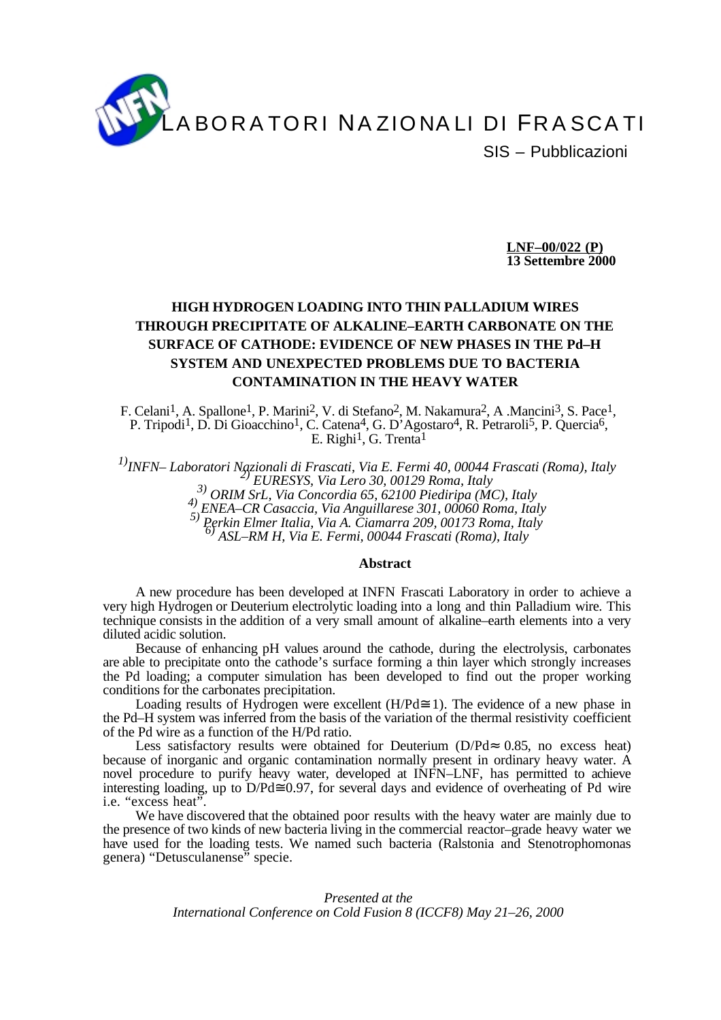

**LNF–00/022 (P) 13 Settembre 2000**

# **HIGH HYDROGEN LOADING INTO THIN PALLADIUM WIRES THROUGH PRECIPITATE OF ALKALINE–EARTH CARBONATE ON THE SURFACE OF CATHODE: EVIDENCE OF NEW PHASES IN THE Pd–H SYSTEM AND UNEXPECTED PROBLEMS DUE TO BACTERIA CONTAMINATION IN THE HEAVY WATER**

F. Celani<sup>1</sup>, A. Spallone<sup>1</sup>, P. Marini<sup>2</sup>, V. di Stefano<sup>2</sup>, M. Nakamura<sup>2</sup>, A .Mancini<sup>3</sup>, S. Pace<sup>1</sup>, P. Tripodi<sup>1</sup>, D. Di Gioacchino<sup>1</sup>, C. Catena<sup>4</sup>, G. D'Agostaro<sup>4</sup>, R. Petraroli<sup>5</sup>, P. Quercia<sup>6</sup>, E. Righi<sup>1</sup>, G. Trenta<sup>1</sup>

<sup>1)</sup>INFN– Laboratori Nazionali di Frascati, Via E. Fermi 40, 00044 Frascati (Roma), Italy<br><sup>3)</sup> EURESYS, Via Lero 30, 00129 Roma, Italy<br><sup>3)</sup> ORIM SrL, Via Concordia 65, 62100 Piediripa (MC), Italy<br><sup>4)</sup> ENEA–CR Casaccia, Vi

#### **Abstract**

A new procedure has been developed at INFN Frascati Laboratory in order to achieve a very high Hydrogen or Deuterium electrolytic loading into a long and thin Palladium wire. This technique consists in the addition of a very small amount of alkaline–earth elements into a very diluted acidic solution.

Because of enhancing pH values around the cathode, during the electrolysis, carbonates are able to precipitate onto the cathode's surface forming a thin layer which strongly increases the Pd loading; a computer simulation has been developed to find out the proper working conditions for the carbonates precipitation.

Loading results of Hydrogen were excellent (H/Pd $\cong$  1). The evidence of a new phase in the Pd–H system was inferred from the basis of the variation of the thermal resistivity coefficient of the Pd wire as a function of the H/Pd ratio.

Less satisfactory results were obtained for Deuterium (D/Pd $\approx$  0.85, no excess heat) because of inorganic and organic contamination normally present in ordinary heavy water. A novel procedure to purify heavy water, developed at INFN–LNF, has permitted to achieve interesting loading, up to  $D/Pd\cong 0.97$ , for several days and evidence of overheating of Pd wire i.e. "excess heat".

We have discovered that the obtained poor results with the heavy water are mainly due to the presence of two kinds of new bacteria living in the commercial reactor–grade heavy water we have used for the loading tests. We named such bacteria (Ralstonia and Stenotrophomonas genera) "Detusculanense" specie.

> *Presented at the International Conference on Cold Fusion 8 (ICCF8) May 21–26, 2000*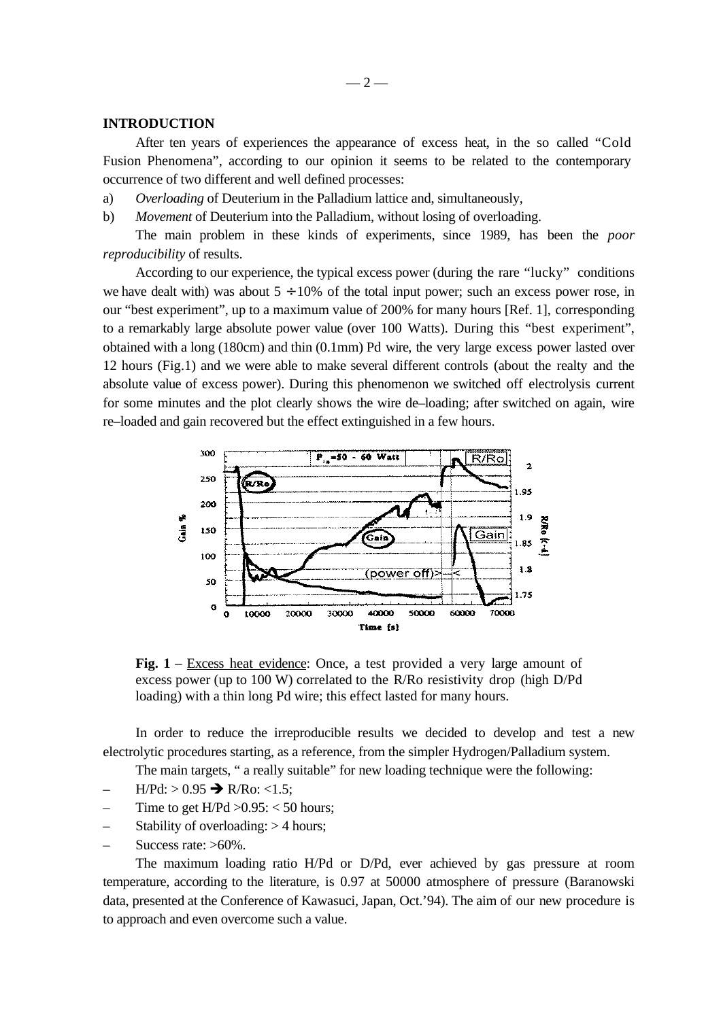### **INTRODUCTION**

After ten years of experiences the appearance of excess heat, in the so called "Cold Fusion Phenomena", according to our opinion it seems to be related to the contemporary occurrence of two different and well defined processes:

a) *Overloading* of Deuterium in the Palladium lattice and, simultaneously,

b) *Movement* of Deuterium into the Palladium, without losing of overloading.

The main problem in these kinds of experiments, since 1989, has been the *poor reproducibility* of results.

According to our experience, the typical excess power (during the rare "lucky" conditions we have dealt with) was about  $5 \div 10\%$  of the total input power; such an excess power rose, in our "best experiment", up to a maximum value of 200% for many hours [Ref. 1], corresponding to a remarkably large absolute power value (over 100 Watts). During this "best experiment", obtained with a long (180cm) and thin (0.1mm) Pd wire, the very large excess power lasted over 12 hours (Fig.1) and we were able to make several different controls (about the realty and the absolute value of excess power). During this phenomenon we switched off electrolysis current for some minutes and the plot clearly shows the wire de–loading; after switched on again, wire re–loaded and gain recovered but the effect extinguished in a few hours.



**Fig. 1** – Excess heat evidence: Once, a test provided a very large amount of excess power (up to 100 W) correlated to the R/Ro resistivity drop (high D/Pd loading) with a thin long Pd wire; this effect lasted for many hours.

In order to reduce the irreproducible results we decided to develop and test a new electrolytic procedures starting, as a reference, from the simpler Hydrogen/Palladium system.

The main targets, " a really suitable" for new loading technique were the following:

- $H/Pd$ :  $> 0.95 \rightarrow R/Ro$ : <1.5;
- Time to get  $H/Pd > 0.95$ : < 50 hours;
- Stability of overloading:  $>$  4 hours;
- Success rate: >60%.

The maximum loading ratio H/Pd or D/Pd, ever achieved by gas pressure at room temperature, according to the literature, is 0.97 at 50000 atmosphere of pressure (Baranowski data, presented at the Conference of Kawasuci, Japan, Oct.'94). The aim of our new procedure is to approach and even overcome such a value.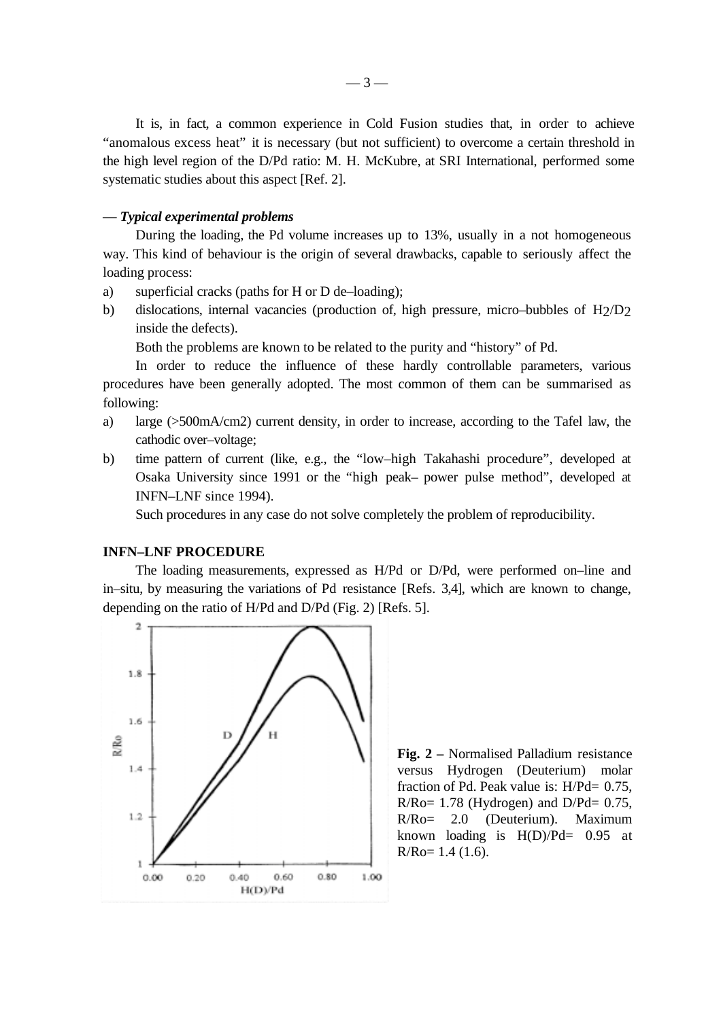It is, in fact, a common experience in Cold Fusion studies that, in order to achieve "anomalous excess heat" it is necessary (but not sufficient) to overcome a certain threshold in the high level region of the D/Pd ratio: M. H. McKubre, at SRI International, performed some systematic studies about this aspect [Ref. 2].

#### *–– Typical experimental problems*

During the loading, the Pd volume increases up to 13%, usually in a not homogeneous way. This kind of behaviour is the origin of several drawbacks, capable to seriously affect the loading process:

- a) superficial cracks (paths for H or D de–loading);
- b) dislocations, internal vacancies (production of, high pressure, micro–bubbles of H2/D2 inside the defects).

Both the problems are known to be related to the purity and "history" of Pd.

In order to reduce the influence of these hardly controllable parameters, various procedures have been generally adopted. The most common of them can be summarised as following:

- a) large (>500mA/cm2) current density, in order to increase, according to the Tafel law, the cathodic over–voltage;
- b) time pattern of current (like, e.g., the "low–high Takahashi procedure", developed at Osaka University since 1991 or the "high peak– power pulse method", developed at INFN–LNF since 1994).

Such procedures in any case do not solve completely the problem of reproducibility.

### **INFN–LNF PROCEDURE**

The loading measurements, expressed as H/Pd or D/Pd, were performed on–line and in–situ, by measuring the variations of Pd resistance [Refs. 3,4], which are known to change, depending on the ratio of H/Pd and D/Pd (Fig. 2) [Refs. 5].



**Fig. 2 –** Normalised Palladium resistance versus Hydrogen (Deuterium) molar fraction of Pd. Peak value is: H/Pd= 0.75,  $R/Ro= 1.78$  (Hydrogen) and  $D/Pd= 0.75$ , R/Ro= 2.0 (Deuterium). Maximum known loading is  $H(D)/Pd= 0.95$  at  $R/Ro= 1.4$  (1.6).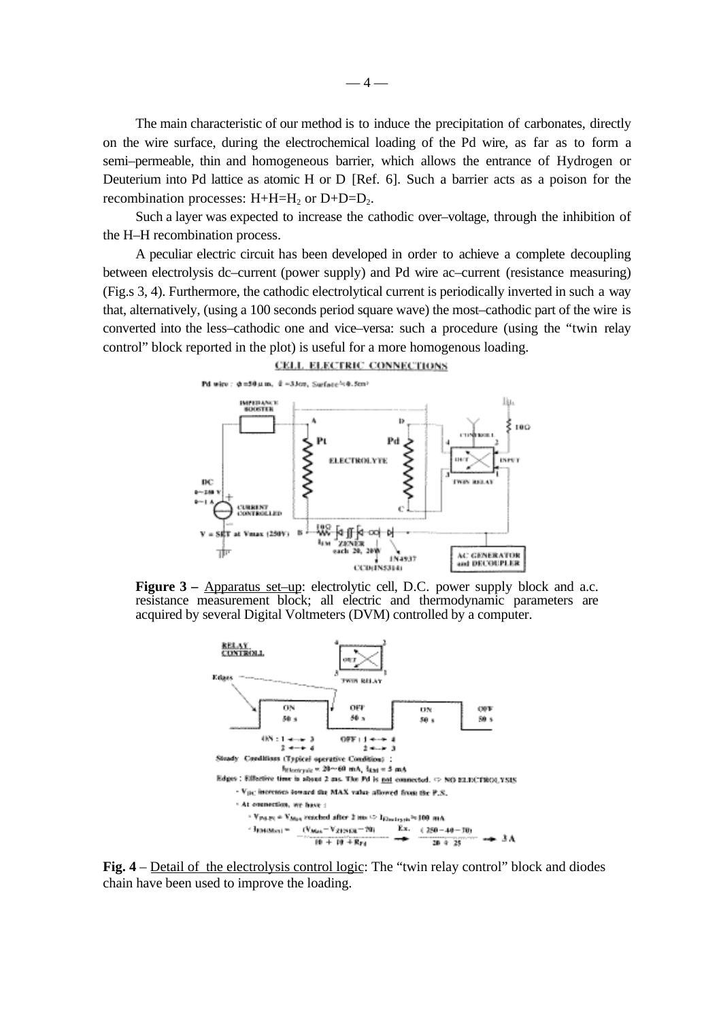The main characteristic of our method is to induce the precipitation of carbonates, directly on the wire surface, during the electrochemical loading of the Pd wire, as far as to form a semi–permeable, thin and homogeneous barrier, which allows the entrance of Hydrogen or Deuterium into Pd lattice as atomic H or D [Ref. 6]. Such a barrier acts as a poison for the recombination processes:  $H + H = H_2$  or  $D + D = D_2$ .

Such a layer was expected to increase the cathodic over–voltage, through the inhibition of the H–H recombination process.

A peculiar electric circuit has been developed in order to achieve a complete decoupling between electrolysis dc–current (power supply) and Pd wire ac–current (resistance measuring) (Fig.s 3, 4). Furthermore, the cathodic electrolytical current is periodically inverted in such a way that, alternatively, (using a 100 seconds period square wave) the most–cathodic part of the wire is converted into the less–cathodic one and vice–versa: such a procedure (using the "twin relay control" block reported in the plot) is useful for a more homogenous loading.

#### CELL ELECTRIC CONNECTIONS



**Figure 3** – Apparatus set–up: electrolytic cell, D.C. power supply block and a.c. resistance measurement block; all electric and thermodynamic parameters are acquired by several Digital Voltmeters (DVM) controlled by a computer.



**Fig. 4** – Detail of the electrolysis control logic: The "twin relay control" block and diodes chain have been used to improve the loading.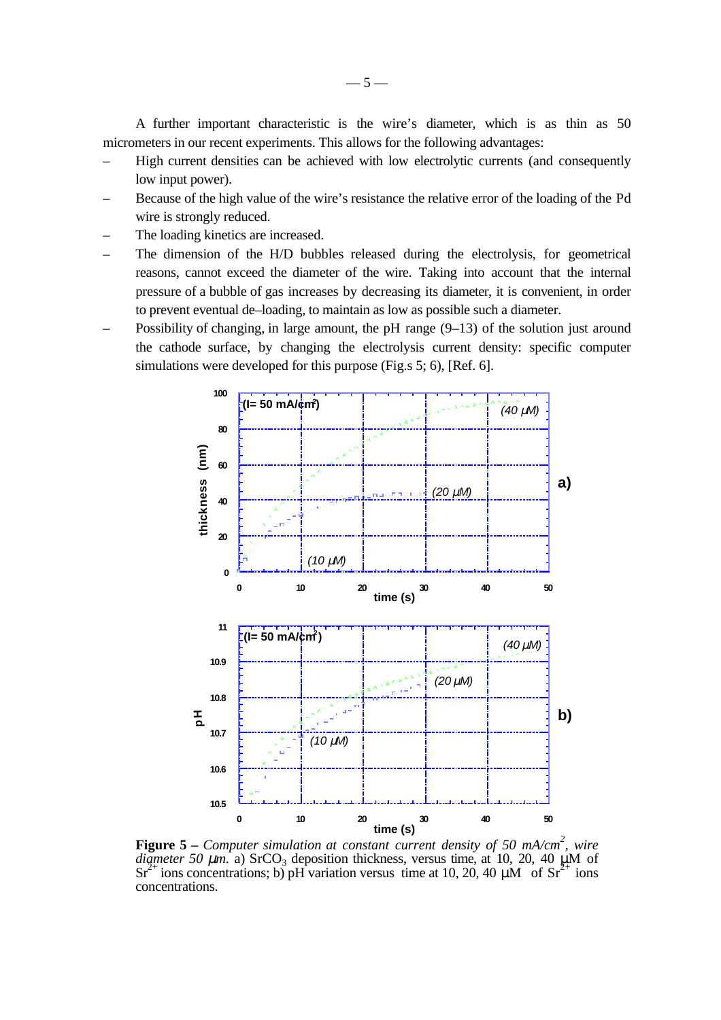A further important characteristic is the wire's diameter, which is as thin as 50 micrometers in our recent experiments. This allows for the following advantages:

- High current densities can be achieved with low electrolytic currents (and consequently low input power).
- Because of the high value of the wire's resistance the relative error of the loading of the Pd wire is strongly reduced.
- The loading kinetics are increased.
- The dimension of the H/D bubbles released during the electrolysis, for geometrical reasons, cannot exceed the diameter of the wire. Taking into account that the internal pressure of a bubble of gas increases by decreasing its diameter, it is convenient, in order to prevent eventual de–loading, to maintain as low as possible such a diameter.
- Possibility of changing, in large amount, the pH range (9–13) of the solution just around the cathode surface, by changing the electrolysis current density: specific computer simulations were developed for this purpose (Fig.s 5; 6), [Ref. 6].



**Figure 5** – *Computer simulation at constant current density of 50 mA/cm<sup>2</sup>, wire diameter 50*  $\mu$ *m.* a) SrCO<sub>3</sub> deposition thickness, versus time, at 10, 20, 40  $\mu$ M of  $Sr^{2+}$  ions concentrations; b) pH variation versus time at 10, 20, 40  $\mu$ M of  $Sr^{2+}$  ions concentrations.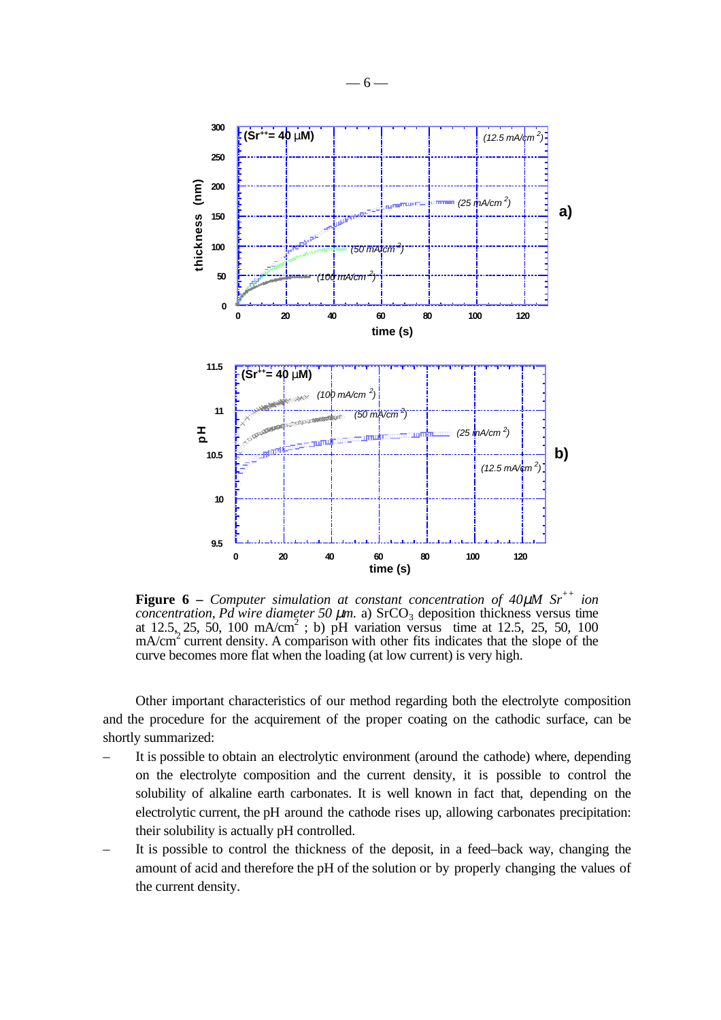

**Figure 6** – *Computer simulation at constant concentration of 40* $\mu$ *M Sr<sup>++</sup> ion concentration, Pd wire diameter 50*  $\mu$ *m.* a) SrCO<sub>3</sub> deposition thickness versus time at 12.5, 25, 50, 100 mA/cm<sup>2</sup>; b) pH variation versus time at 12.5, 25, 50, 100  $\mu$ <sup>2</sup> current density. A comparison with other fits indicates that the slope of the curve becomes more flat when the loading (at low current) is very high.

Other important characteristics of our method regarding both the electrolyte composition and the procedure for the acquirement of the proper coating on the cathodic surface, can be shortly summarized:

- It is possible to obtain an electrolytic environment (around the cathode) where, depending on the electrolyte composition and the current density, it is possible to control the solubility of alkaline earth carbonates. It is well known in fact that, depending on the electrolytic current, the pH around the cathode rises up, allowing carbonates precipitation: their solubility is actually pH controlled.
- It is possible to control the thickness of the deposit, in a feed–back way, changing the amount of acid and therefore the pH of the solution or by properly changing the values of the current density.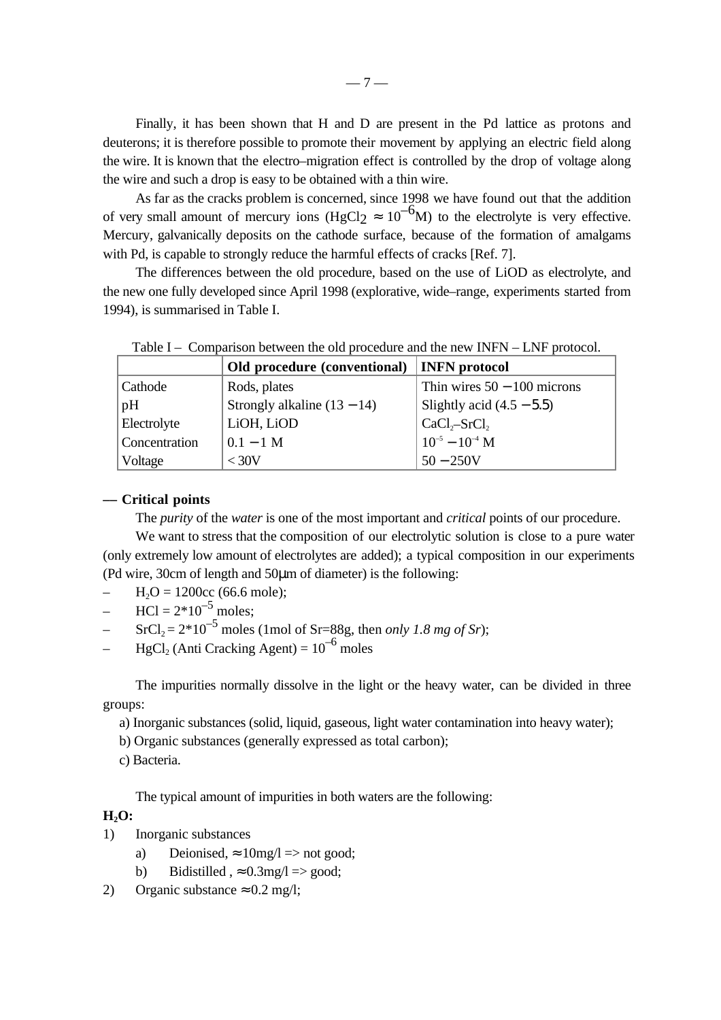Finally, it has been shown that H and D are present in the Pd lattice as protons and deuterons; it is therefore possible to promote their movement by applying an electric field along the wire. It is known that the electro–migration effect is controlled by the drop of voltage along the wire and such a drop is easy to be obtained with a thin wire.

As far as the cracks problem is concerned, since 1998 we have found out that the addition of very small amount of mercury ions (HgCl2  $\approx 10^{-6}$ M) to the electrolyte is very effective. Mercury, galvanically deposits on the cathode surface, because of the formation of amalgams with Pd, is capable to strongly reduce the harmful effects of cracks [Ref. 7].

The differences between the old procedure, based on the use of LiOD as electrolyte, and the new one fully developed since April 1998 (explorative, wide–range, experiments started from 1994), is summarised in Table I.

|               | Old procedure (conventional)   INFN protocol |                                                                                              |
|---------------|----------------------------------------------|----------------------------------------------------------------------------------------------|
| Cathode       | Rods, plates                                 | Thin wires $50 - 100$ microns                                                                |
| pH            | Strongly alkaline $(13 - 14)$                | Slightly acid $(4.5 - 5.5)$                                                                  |
| Electrolyte   | LiOH, LiOD                                   | $\begin{bmatrix} \text{CaCl}_2 - \text{SrCl}_2 \\ 10^{-5} - 10^{-4} \text{ M} \end{bmatrix}$ |
| Concentration | $0.1 - 1$ M                                  |                                                                                              |
| Voltage       | ${<}\,30\mathrm{V}$                          | $50 - 250V$                                                                                  |

Table I – Comparison between the old procedure and the new INFN – LNF protocol.

### **–– Critical points**

The *purity* of the *water* is one of the most important and *critical* points of our procedure.

We want to stress that the composition of our electrolytic solution is close to a pure water (only extremely low amount of electrolytes are added); a typical composition in our experiments (Pd wire, 30cm of length and 50µm of diameter) is the following:

- $H<sub>2</sub>O = 1200cc$  (66.6 mole);
- $\text{HCl} = 2*10^{-5}$  moles;
- $SrCl<sub>2</sub> = 2*10<sup>-5</sup>$  moles (1mol of Sr=88g, then *only 1.8 mg of Sr*);
- $HgCl<sub>2</sub>$  (Anti Cracking Agent) =  $10^{-6}$  moles

The impurities normally dissolve in the light or the heavy water, can be divided in three groups:

a) Inorganic substances (solid, liquid, gaseous, light water contamination into heavy water);

b) Organic substances (generally expressed as total carbon);

c) Bacteria.

The typical amount of impurities in both waters are the following:

## **H2O:**

- 1) Inorganic substances
	- a) Deionised,  $\approx 10$ mg/l  $\Rightarrow$  not good;
	- b) Bidistilled ,  $\approx 0.3$ mg/l  $\Rightarrow$  good;
- 2) Organic substance  $\approx 0.2$  mg/l;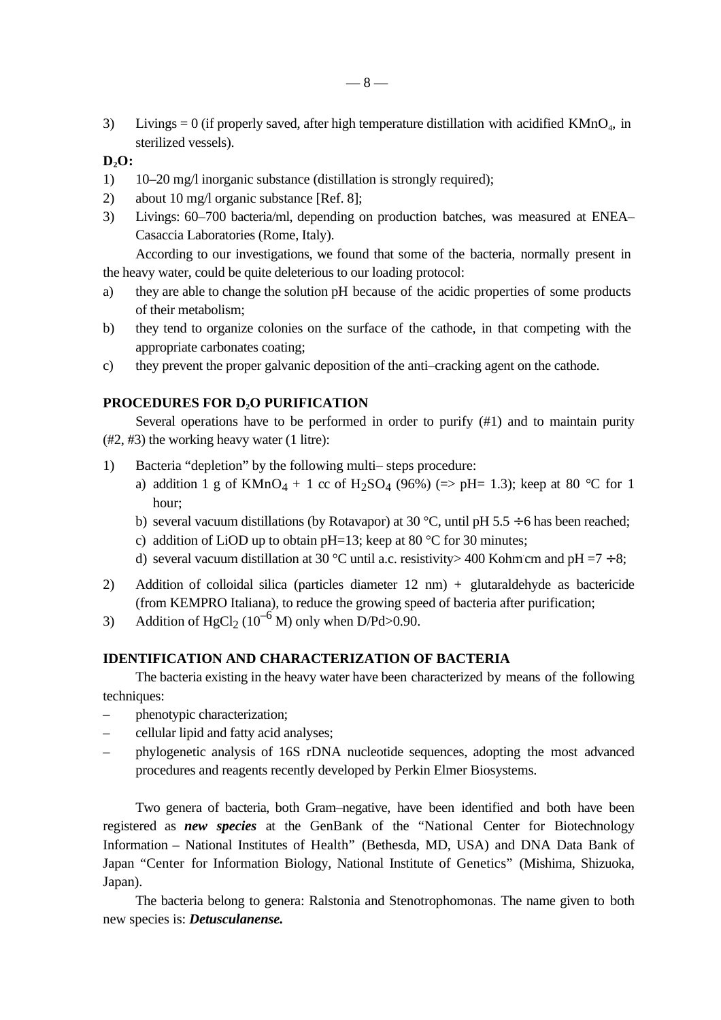3) Livings = 0 (if properly saved, after high temperature distillation with acidified  $KMnO<sub>4</sub>$ , in sterilized vessels).

# **D2O:**

- 1) 10–20 mg/l inorganic substance (distillation is strongly required);
- 2) about 10 mg/l organic substance [Ref. 8];
- 3) Livings: 60–700 bacteria/ml, depending on production batches, was measured at ENEA– Casaccia Laboratories (Rome, Italy).

According to our investigations, we found that some of the bacteria, normally present in the heavy water, could be quite deleterious to our loading protocol:

- a) they are able to change the solution pH because of the acidic properties of some products of their metabolism;
- b) they tend to organize colonies on the surface of the cathode, in that competing with the appropriate carbonates coating;
- c) they prevent the proper galvanic deposition of the anti–cracking agent on the cathode.

# **PROCEDURES FOR D<sub>2</sub>O PURIFICATION**

Several operations have to be performed in order to purify  $(\#1)$  and to maintain purity (#2, #3) the working heavy water (1 litre):

- 1) Bacteria "depletion" by the following multi– steps procedure:
	- a) addition 1 g of  $KMnO_4 + 1$  cc of  $H_2SO_4$  (96%) (=> pH= 1.3); keep at 80 °C for 1 hour;
	- b) several vacuum distillations (by Rotavapor) at 30 °C, until pH 5.5  $\div$  6 has been reached;
	- c) addition of LiOD up to obtain pH=13; keep at 80  $\degree$ C for 30 minutes;
	- d) several vacuum distillation at 30 °C until a.c. resistivity > 400 Kohm.cm and pH =7  $\div$  8;
- 2) Addition of colloidal silica (particles diameter 12 nm) + glutaraldehyde as bactericide (from KEMPRO Italiana), to reduce the growing speed of bacteria after purification;
- 3) Addition of HgCl<sub>2</sub> (10<sup>-6</sup> M) only when D/Pd>0.90.

# **IDENTIFICATION AND CHARACTERIZATION OF BACTERIA**

The bacteria existing in the heavy water have been characterized by means of the following techniques:

- phenotypic characterization;
- cellular lipid and fatty acid analyses;
- phylogenetic analysis of 16S rDNA nucleotide sequences, adopting the most advanced procedures and reagents recently developed by Perkin Elmer Biosystems.

Two genera of bacteria, both Gram–negative, have been identified and both have been registered as *new species* at the GenBank of the "National Center for Biotechnology Information – National Institutes of Health" (Bethesda, MD, USA) and DNA Data Bank of Japan "Center for Information Biology, National Institute of Genetics" (Mishima, Shizuoka, Japan).

The bacteria belong to genera: Ralstonia and Stenotrophomonas. The name given to both new species is: *Detusculanense.*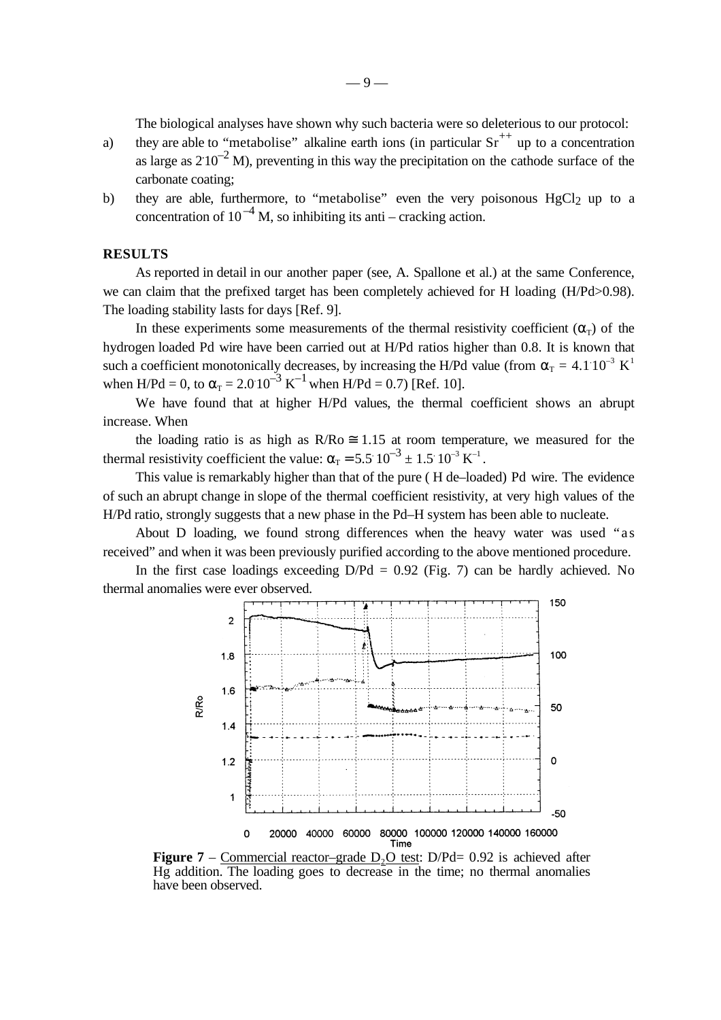The biological analyses have shown why such bacteria were so deleterious to our protocol:

- a) they are able to "metabolise" alkaline earth ions (in particular  $Sr^{++}$  up to a concentration as large as  $210^{-2}$  M), preventing in this way the precipitation on the cathode surface of the carbonate coating;
- b) they are able, furthermore, to "metabolise" even the very poisonous  $HgCl<sub>2</sub>$  up to a concentration of  $10^{-4}$  M, so inhibiting its anti – cracking action.

### **RESULTS**

As reported in detail in our another paper (see, A. Spallone et al.) at the same Conference, we can claim that the prefixed target has been completely achieved for H loading (H/Pd>0.98). The loading stability lasts for days [Ref. 9].

In these experiments some measurements of the thermal resistivity coefficient ( $\alpha_{\rm r}$ ) of the hydrogen loaded Pd wire have been carried out at H/Pd ratios higher than 0.8. It is known that such a coefficient monotonically decreases, by increasing the H/Pd value (from  $\alpha_{\text{T}} = 4.1 \, 10^{-3} \, \text{K}^1$ when H/Pd = 0, to  $\alpha_T = 2.0 \times 10^{-3} \text{ K}^{-1}$  when H/Pd = 0.7) [Ref. 10].

We have found that at higher H/Pd values, the thermal coefficient shows an abrupt increase. When

the loading ratio is as high as  $R/Ro \approx 1.15$  at room temperature, we measured for the thermal resistivity coefficient the value:  $\alpha_{\rm r} = 5.5 \times 10^{-3} \pm 1.5 \times 10^{-3} \text{ K}^{-1}$ .

This value is remarkably higher than that of the pure ( H de–loaded) Pd wire. The evidence of such an abrupt change in slope of the thermal coefficient resistivity, at very high values of the H/Pd ratio, strongly suggests that a new phase in the Pd–H system has been able to nucleate.

About D loading, we found strong differences when the heavy water was used "as received" and when it was been previously purified according to the above mentioned procedure.

In the first case loadings exceeding  $D/Pd = 0.92$  (Fig. 7) can be hardly achieved. No thermal anomalies were ever observed.



**Figure 7** – Commercial reactor–grade  $D_2O$  test: D/Pd= 0.92 is achieved after Hg addition. The loading goes to decrease in the time; no thermal anomalies have been observed.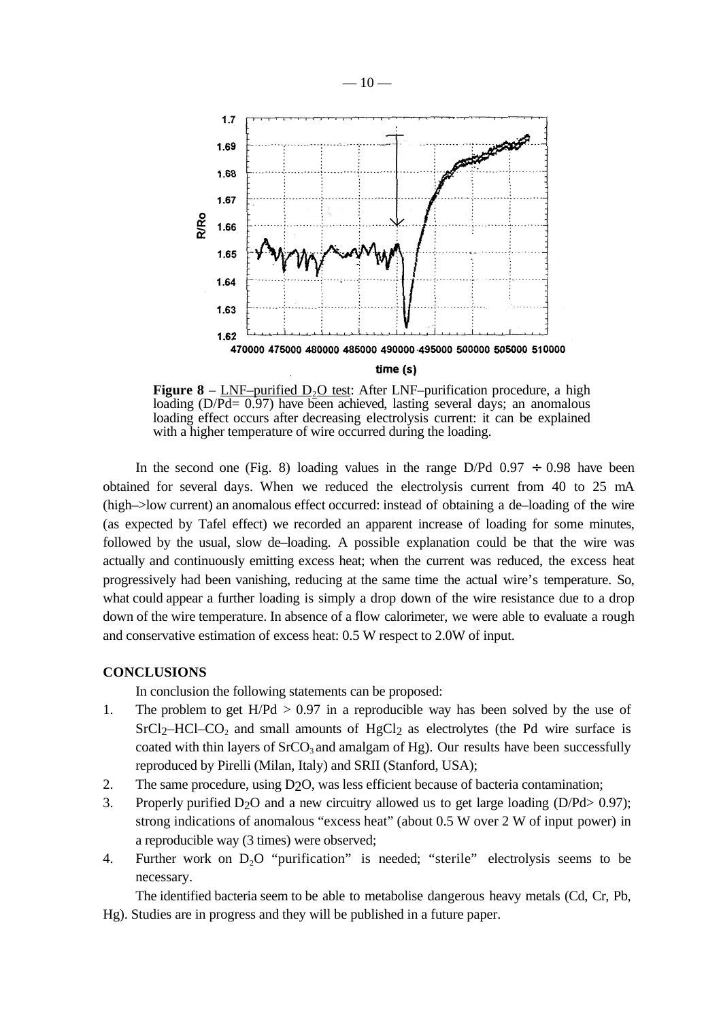

**Figure 8** – LNF–purified  $D_2O$  test: After LNF–purification procedure, a high loading (D/Pd= 0.97) have been achieved, lasting several days; an anomalous loading effect occurs after decreasing electrolysis current: it can be explained with a higher temperature of wire occurred during the loading.

In the second one (Fig. 8) loading values in the range D/Pd  $0.97 \div 0.98$  have been obtained for several days. When we reduced the electrolysis current from 40 to 25 mA (high–>low current) an anomalous effect occurred: instead of obtaining a de–loading of the wire (as expected by Tafel effect) we recorded an apparent increase of loading for some minutes, followed by the usual, slow de–loading. A possible explanation could be that the wire was actually and continuously emitting excess heat; when the current was reduced, the excess heat progressively had been vanishing, reducing at the same time the actual wire's temperature. So, what could appear a further loading is simply a drop down of the wire resistance due to a drop down of the wire temperature. In absence of a flow calorimeter, we were able to evaluate a rough and conservative estimation of excess heat: 0.5 W respect to 2.0W of input.

### **CONCLUSIONS**

In conclusion the following statements can be proposed:

- 1. The problem to get  $H/Pd > 0.97$  in a reproducible way has been solved by the use of  $SrCl<sub>2</sub>–HCl–CO<sub>2</sub>$  and small amounts of HgCl<sub>2</sub> as electrolytes (the Pd wire surface is coated with thin layers of  $SrCO<sub>3</sub>$  and amalgam of Hg). Our results have been successfully reproduced by Pirelli (Milan, Italy) and SRII (Stanford, USA);
- 2. The same procedure, using D2O, was less efficient because of bacteria contamination;
- 3. Properly purified  $D_2O$  and a new circuitry allowed us to get large loading ( $D/Pd > 0.97$ ); strong indications of anomalous "excess heat" (about 0.5 W over 2 W of input power) in a reproducible way (3 times) were observed;
- 4. Further work on  $D_2O$  "purification" is needed; "sterile" electrolysis seems to be necessary.

The identified bacteria seem to be able to metabolise dangerous heavy metals (Cd, Cr, Pb, Hg). Studies are in progress and they will be published in a future paper.

 $-10-$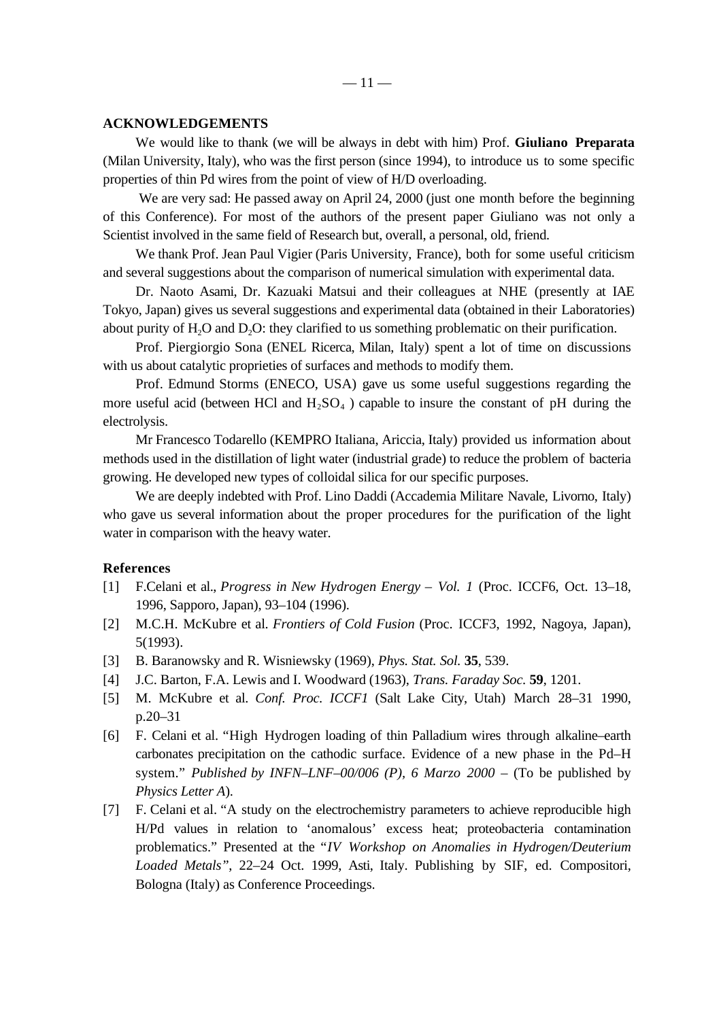### **ACKNOWLEDGEMENTS**

We would like to thank (we will be always in debt with him) Prof. **Giuliano Preparata** (Milan University, Italy), who was the first person (since 1994), to introduce us to some specific properties of thin Pd wires from the point of view of H/D overloading.

We are very sad: He passed away on April 24, 2000 (just one month before the beginning of this Conference). For most of the authors of the present paper Giuliano was not only a Scientist involved in the same field of Research but, overall, a personal, old, friend.

We thank Prof. Jean Paul Vigier (Paris University, France), both for some useful criticism and several suggestions about the comparison of numerical simulation with experimental data.

Dr. Naoto Asami, Dr. Kazuaki Matsui and their colleagues at NHE (presently at IAE Tokyo, Japan) gives us several suggestions and experimental data (obtained in their Laboratories) about purity of  $H_2O$  and  $D_2O$ : they clarified to us something problematic on their purification.

Prof. Piergiorgio Sona (ENEL Ricerca, Milan, Italy) spent a lot of time on discussions with us about catalytic proprieties of surfaces and methods to modify them.

Prof. Edmund Storms (ENECO, USA) gave us some useful suggestions regarding the more useful acid (between HCl and  $H_2SO_4$ ) capable to insure the constant of pH during the electrolysis.

Mr Francesco Todarello (KEMPRO Italiana, Ariccia, Italy) provided us information about methods used in the distillation of light water (industrial grade) to reduce the problem of bacteria growing. He developed new types of colloidal silica for our specific purposes.

We are deeply indebted with Prof. Lino Daddi (Accademia Militare Navale, Livorno, Italy) who gave us several information about the proper procedures for the purification of the light water in comparison with the heavy water.

#### **References**

- [1] F.Celani et al., *Progress in New Hydrogen Energy Vol. 1* (Proc. ICCF6, Oct. 13–18, 1996, Sapporo, Japan), 93–104 (1996).
- [2] M.C.H. McKubre et al. *Frontiers of Cold Fusion* (Proc. ICCF3, 1992, Nagoya, Japan), 5(1993).
- [3] B. Baranowsky and R. Wisniewsky (1969), *Phys. Stat. Sol.* **35**, 539.
- [4] J.C. Barton, F.A. Lewis and I. Woodward (1963), *Trans. Faraday Soc.* **59**, 1201.
- [5] M. McKubre et al. *Conf. Proc. ICCF1* (Salt Lake City, Utah) March 28–31 1990, p.20–31
- [6] F. Celani et al. "High Hydrogen loading of thin Palladium wires through alkaline–earth carbonates precipitation on the cathodic surface. Evidence of a new phase in the Pd–H system." *Published by INFN–LNF–00/006 (P), 6 Marzo 2000 – (To be published by Physics Letter A*).
- [7] F. Celani et al. "A study on the electrochemistry parameters to achieve reproducible high H/Pd values in relation to 'anomalous' excess heat; proteobacteria contamination problematics." Presented at the "*IV Workshop on Anomalies in Hydrogen/Deuterium Loaded Metals"*, 22–24 Oct. 1999, Asti, Italy. Publishing by SIF, ed. Compositori, Bologna (Italy) as Conference Proceedings.